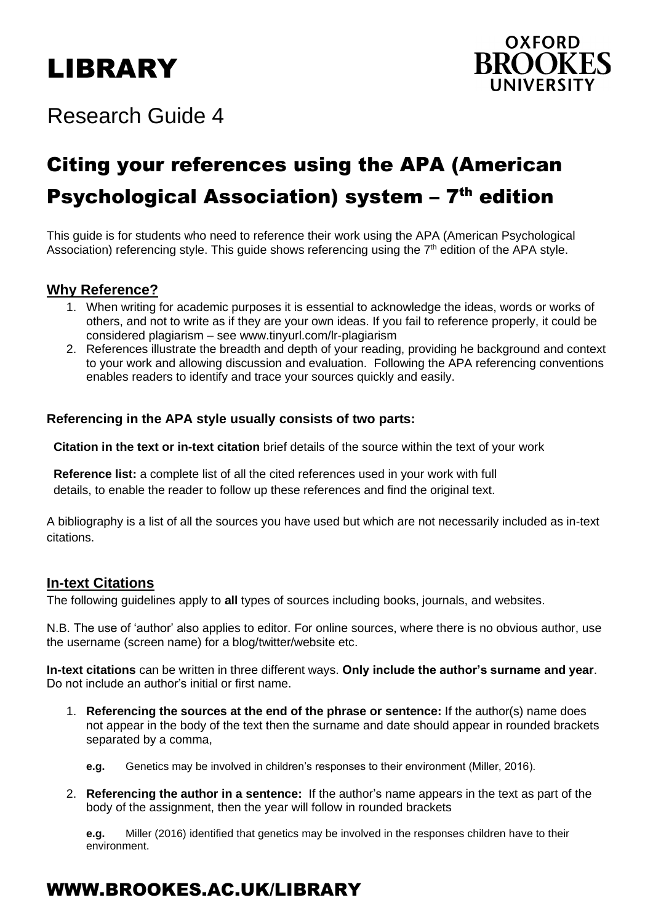# LIBRARY



# Research Guide 4

# Citing your references using the APA (American Psychological Association) system - 7<sup>th</sup> edition

This guide is for students who need to reference their work using the APA (American Psychological Association) referencing style. This guide shows referencing using the 7<sup>th</sup> edition of the APA style.

# **Why Reference?**

- 1. When writing for academic purposes it is essential to acknowledge the ideas, words or works of others, and not to write as if they are your own ideas. If you fail to reference properly, it could be considered plagiarism – see www.tinyurl.com/lr-plagiarism
- 2. References illustrate the breadth and depth of your reading, providing he background and context to your work and allowing discussion and evaluation. Following the APA referencing conventions enables readers to identify and trace your sources quickly and easily.

# **Referencing in the APA style usually consists of two parts:**

 **Citation in the text or in-text citation** brief details of the source within the text of your work

 **Reference list:** a complete list of all the cited references used in your work with full details, to enable the reader to follow up these references and find the original text.

A bibliography is a list of all the sources you have used but which are not necessarily included as in-text citations.

# **In-text Citations**

The following guidelines apply to **all** types of sources including books, journals, and websites.

N.B. The use of 'author' also applies to editor. For online sources, where there is no obvious author, use the username (screen name) for a blog/twitter/website etc.

**In-text citations** can be written in three different ways. **Only include the author's surname and year**. Do not include an author's initial or first name.

- 1. **Referencing the sources at the end of the phrase or sentence:** If the author(s) name does not appear in the body of the text then the surname and date should appear in rounded brackets separated by a comma,
	- **e.g.** Genetics may be involved in children's responses to their environment (Miller, 2016).
- 2. **Referencing the author in a sentence:** If the author's name appears in the text as part of the body of the assignment, then the year will follow in rounded brackets

**e.g.** Miller (2016) identified that genetics may be involved in the responses children have to their environment.

# WWW.BROOKES.AC.UK/LIBRARY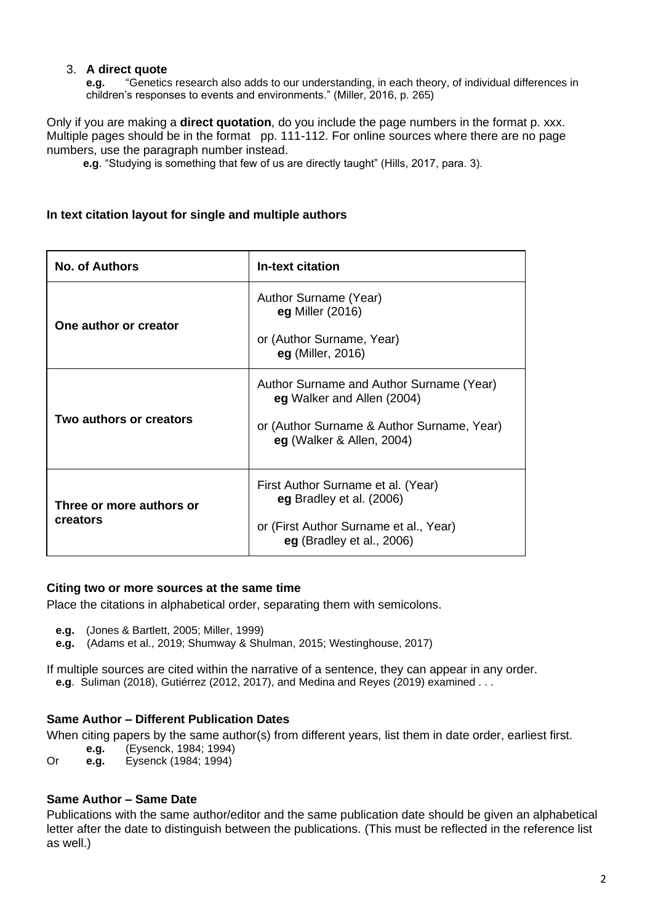## 3. **A direct quote**

**e.g.** "Genetics research also adds to our understanding, in each theory, of individual differences in children's responses to events and environments." (Miller, 2016, p. 265)

Only if you are making a **direct quotation**, do you include the page numbers in the format p. xxx. Multiple pages should be in the format pp. 111-112. For online sources where there are no page numbers, use the paragraph number instead.

**e.g**. "Studying is something that few of us are directly taught" (Hills, 2017, para. 3).

## **In text citation layout for single and multiple authors**

| <b>No. of Authors</b>                | <b>In-text citation</b>                                                                                                                           |
|--------------------------------------|---------------------------------------------------------------------------------------------------------------------------------------------------|
| One author or creator                | Author Surname (Year)<br>eg Miller (2016)<br>or (Author Surname, Year)<br>eg (Miller, 2016)                                                       |
| Two authors or creators              | Author Surname and Author Surname (Year)<br>eg Walker and Allen (2004)<br>or (Author Surname & Author Surname, Year)<br>eg (Walker & Allen, 2004) |
| Three or more authors or<br>creators | First Author Surname et al. (Year)<br>eg Bradley et al. (2006)<br>or (First Author Surname et al., Year)<br>eg (Bradley et al., 2006)             |

#### **Citing two or more sources at the same time**

Place the citations in alphabetical order, separating them with semicolons.

- **e.g.** (Jones & Bartlett, 2005; Miller, 1999)
- **e.g.** (Adams et al., 2019; Shumway & Shulman, 2015; Westinghouse, 2017)

If multiple sources are cited within the narrative of a sentence, they can appear in any order.  **e.g**. Suliman (2018), Gutiérrez (2012, 2017), and Medina and Reyes (2019) examined . . .

# **Same Author – Different Publication Dates**

When citing papers by the same author(s) from different years, list them in date order, earliest first.

- **e.g.** (Eysenck, 1984; 1994)
- Or **e.g.** Eysenck (1984; 1994)

## **Same Author – Same Date**

Publications with the same author/editor and the same publication date should be given an alphabetical letter after the date to distinguish between the publications. (This must be reflected in the reference list as well.)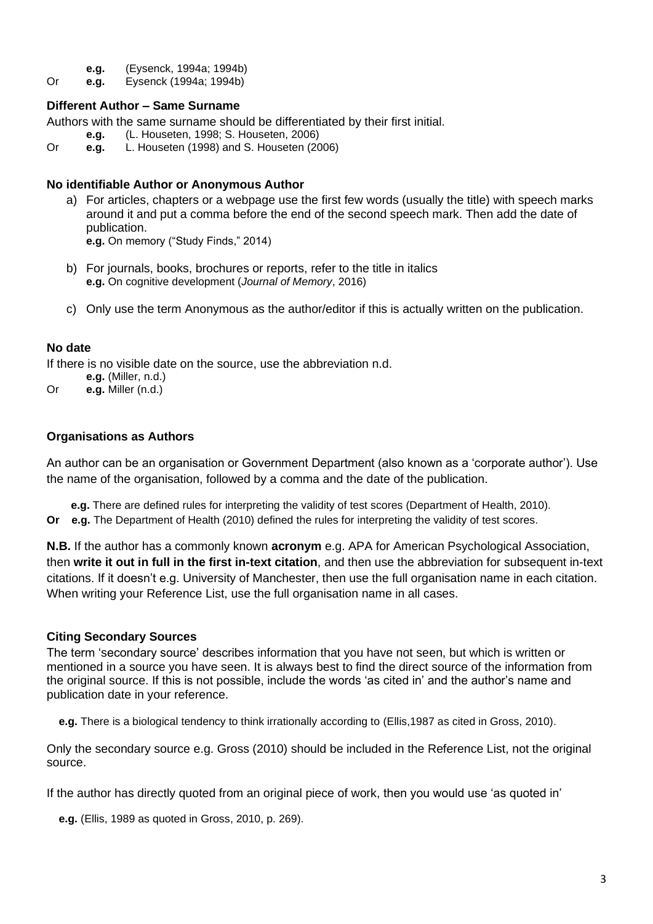- **e.g.** (Eysenck, 1994a; 1994b)
- Or **e.g.** Eysenck (1994a; 1994b)

# **Different Author – Same Surname**

Authors with the same surname should be differentiated by their first initial.

- **e.g.** (L. Houseten, 1998; S. Houseten, 2006)
- Or **e.g.** L. Houseten (1998) and S. Houseten (2006)

## **No identifiable Author or Anonymous Author**

a) For articles, chapters or a webpage use the first few words (usually the title) with speech marks around it and put a comma before the end of the second speech mark. Then add the date of publication.

**e.g.** On memory ("Study Finds," 2014)

- b) For journals, books, brochures or reports, refer to the title in italics **e.g.** On cognitive development (*Journal of Memory*, 2016)
- c) Only use the term Anonymous as the author/editor if this is actually written on the publication.

# **No date**

If there is no visible date on the source, use the abbreviation n.d.

- **e.g.** (Miller, n.d.)
- Or **e.g.** Miller (n.d.)

# **Organisations as Authors**

An author can be an organisation or Government Department (also known as a 'corporate author'). Use the name of the organisation, followed by a comma and the date of the publication.

 **e.g.** There are defined rules for interpreting the validity of test scores (Department of Health, 2010). **Or e.g.** The Department of Health (2010) defined the rules for interpreting the validity of test scores.

**N.B.** If the author has a commonly known **acronym** e.g. APA for American Psychological Association, then **write it out in full in the first in-text citation**, and then use the abbreviation for subsequent in-text citations. If it doesn't e.g. University of Manchester, then use the full organisation name in each citation. When writing your Reference List, use the full organisation name in all cases.

## **Citing Secondary Sources**

The term 'secondary source' describes information that you have not seen, but which is written or mentioned in a source you have seen. It is always best to find the direct source of the information from the original source. If this is not possible, include the words 'as cited in' and the author's name and publication date in your reference.

 **e.g.** There is a biological tendency to think irrationally according to (Ellis,1987 as cited in Gross, 2010).

Only the secondary source e.g. Gross (2010) should be included in the Reference List, not the original source.

If the author has directly quoted from an original piece of work, then you would use 'as quoted in'

 **e.g.** (Ellis, 1989 as quoted in Gross, 2010, p. 269).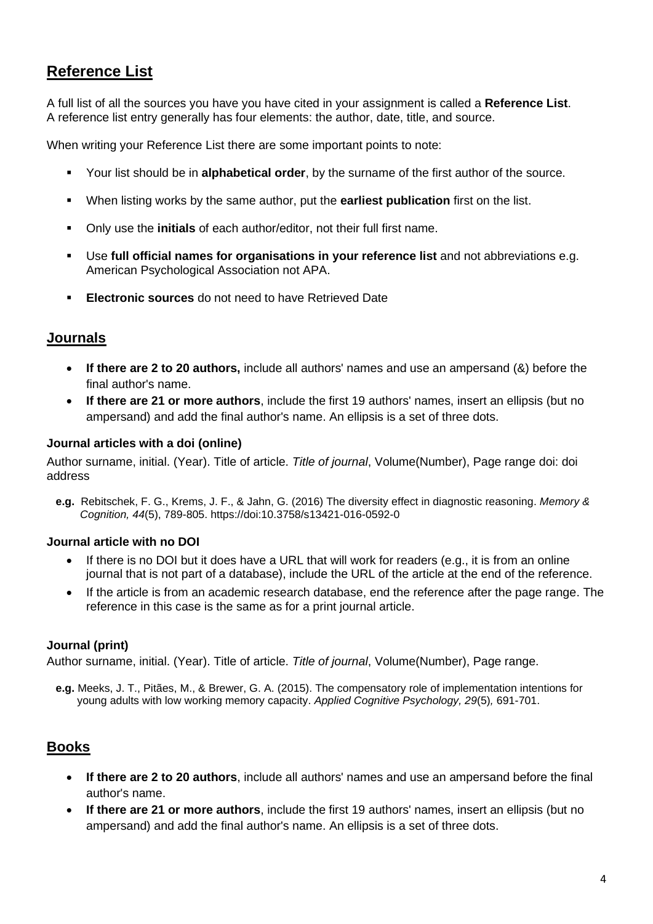# **Reference List**

A full list of all the sources you have you have cited in your assignment is called a **Reference List**. A reference list entry generally has four elements: the author, date, title, and source.

When writing your Reference List there are some important points to note:

- Your list should be in **alphabetical order**, by the surname of the first author of the source.
- When listing works by the same author, put the **earliest publication** first on the list.
- Only use the **initials** of each author/editor, not their full first name.
- Use **full official names for organisations in your reference list** and not abbreviations e.g. American Psychological Association not APA.
- **Electronic sources** do not need to have Retrieved Date

# **Journals**

- **If there are 2 to 20 authors,** include all authors' names and use an ampersand (&) before the final author's name.
- **If there are 21 or more authors**, include the first 19 authors' names, insert an ellipsis (but no ampersand) and add the final author's name. An ellipsis is a set of three dots.

# **Journal articles with a doi (online)**

Author surname, initial. (Year). Title of article. *Title of journal*, Volume(Number), Page range doi: doi address

 **e.g.** Rebitschek, F. G., Krems, J. F., & Jahn, G. (2016) The diversity effect in diagnostic reasoning. *Memory & Cognition, 44*(5), 789-805. https://doi:10.3758/s13421-016-0592-0

# **Journal article with no DOI**

- If there is no DOI but it does have a URL that will work for readers (e.g., it is from an online journal that is not part of a database), include the URL of the article at the end of the reference.
- If the article is from an academic research database, end the reference after the page range. The reference in this case is the same as for a print journal article.

# **Journal (print)**

Author surname, initial. (Year). Title of article. *Title of journal*, Volume(Number), Page range.

 **e.g.** Meeks, J. T., Pitães, M., & Brewer, G. A. (2015). The compensatory role of implementation intentions for young adults with low working memory capacity. *Applied Cognitive Psychology, 29*(5)*,* 691-701.

# **Books**

- **If there are 2 to 20 authors**, include all authors' names and use an ampersand before the final author's name.
- **If there are 21 or more authors**, include the first 19 authors' names, insert an ellipsis (but no ampersand) and add the final author's name. An ellipsis is a set of three dots.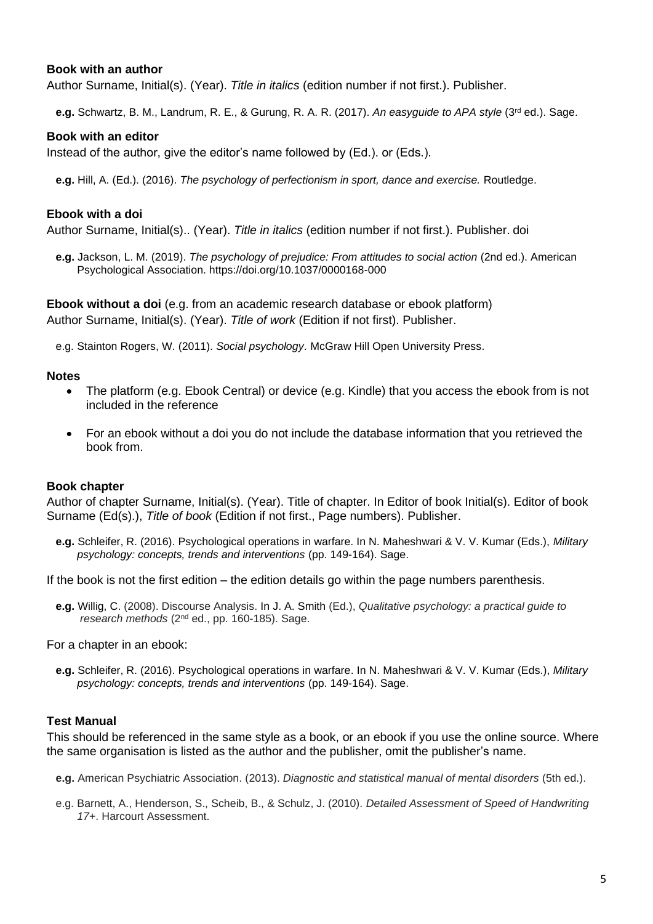#### **Book with an author**

Author Surname, Initial(s). (Year). *Title in italics* (edition number if not first.). Publisher.

 **e.g.** Schwartz, B. M., Landrum, R. E., & Gurung, R. A. R. (2017). *An easyguide to APA style* (3rd ed.). Sage.

#### **Book with an editor**

Instead of the author, give the editor's name followed by (Ed.). or (Eds.).

 **e.g.** Hill, A. (Ed.). (2016). *The psychology of perfectionism in sport, dance and exercise.* Routledge.

#### **Ebook with a doi**

Author Surname, Initial(s).. (Year). *Title in italics* (edition number if not first.). Publisher. doi

 **e.g.** Jackson, L. M. (2019). *The psychology of prejudice: From attitudes to social action* (2nd ed.). American Psychological Association. https://doi.org/10.1037/0000168-000

**Ebook without a doi** (e.g. from an academic research database or ebook platform) Author Surname, Initial(s). (Year). *Title of work* (Edition if not first). Publisher.

e.g. Stainton Rogers, W. (2011). *Social psychology*. McGraw Hill Open University Press.

#### **Notes**

- The platform (e.g. Ebook Central) or device (e.g. Kindle) that you access the ebook from is not included in the reference
- For an ebook without a doi you do not include the database information that you retrieved the book from.

#### **Book chapter**

Author of chapter Surname, Initial(s). (Year). Title of chapter. In Editor of book Initial(s). Editor of book Surname (Ed(s).), *Title of book* (Edition if not first., Page numbers). Publisher.

 **e.g.** Schleifer, R. (2016). Psychological operations in warfare. In N. Maheshwari & V. V. Kumar (Eds.), *Military psychology: concepts, trends and interventions* (pp. 149-164). Sage.

If the book is not the first edition – the edition details go within the page numbers parenthesis.

 **e.g.** Willig, C. (2008). Discourse Analysis. In J. A. Smith (Ed.), *Qualitative psychology: a practical guide to* research methods (2<sup>nd</sup> ed., pp. 160-185). Sage.

For a chapter in an ebook:

 **e.g.** Schleifer, R. (2016). Psychological operations in warfare. In N. Maheshwari & V. V. Kumar (Eds.), *Military psychology: concepts, trends and interventions* (pp. 149-164). Sage.

#### **Test Manual**

This should be referenced in the same style as a book, or an ebook if you use the online source. Where the same organisation is listed as the author and the publisher, omit the publisher's name.

- **e.g.** American Psychiatric Association. (2013). *Diagnostic and statistical manual of mental disorders* (5th ed.).
- e.g. Barnett, A., Henderson, S., Scheib, B., & Schulz, J. (2010). *Detailed Assessment of Speed of Handwriting 17+*. Harcourt Assessment.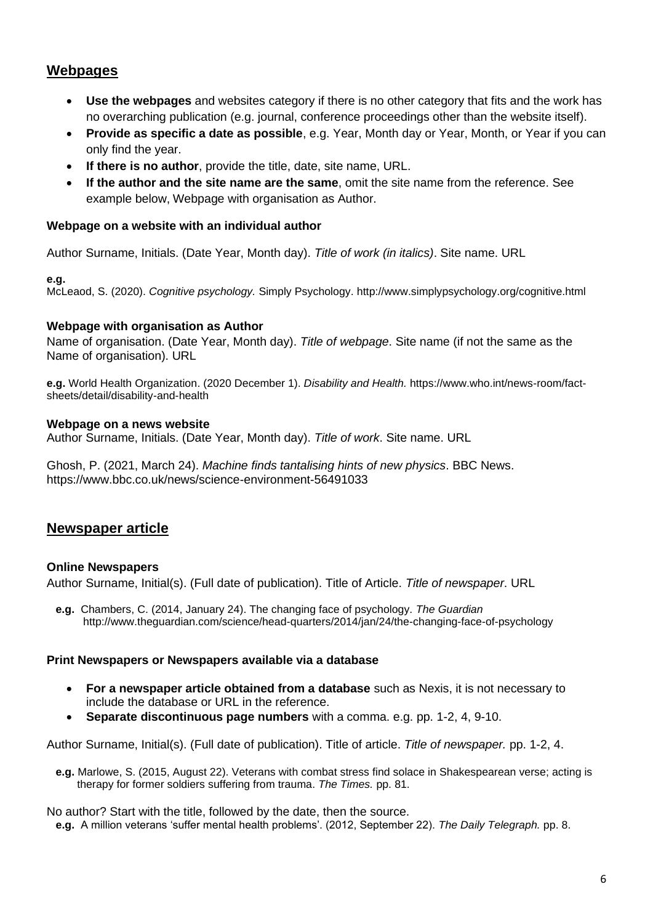# **Webpages**

- **Use the webpages** and websites category if there is no other category that fits and the work has no overarching publication (e.g. journal, conference proceedings other than the website itself).
- **Provide as specific a date as possible**, e.g. Year, Month day or Year, Month, or Year if you can only find the year.
- **If there is no author**, provide the title, date, site name, URL.
- **If the author and the site name are the same**, omit the site name from the reference. See example below, Webpage with organisation as Author.

# **Webpage on a website with an individual author**

Author Surname, Initials. (Date Year, Month day). *Title of work (in italics)*. Site name. URL

#### **e.g.**

McLeaod, S. (2020). *Cognitive psychology.* Simply Psychology. http://www.simplypsychology.org/cognitive.html

## **Webpage with organisation as Author**

Name of organisation. (Date Year, Month day). *Title of webpage*. Site name (if not the same as the Name of organisation). URL

**e.g.** World Health Organization. (2020 December 1). *Disability and Health.* https://www.who.int/news-room/factsheets/detail/disability-and-health

## **Webpage on a news website**

Author Surname, Initials. (Date Year, Month day). *Title of work*. Site name. URL

Ghosh, P. (2021, March 24). *Machine finds tantalising hints of new physics*. BBC News. https://www.bbc.co.uk/news/science-environment-56491033

# **Newspaper article**

## **Online Newspapers**

Author Surname, Initial(s). (Full date of publication). Title of Article. *Title of newspaper*. URL

 **e.g.** Chambers, C. (2014, January 24). The changing face of psychology. *The Guardian* http://www.theguardian.com/science/head-quarters/2014/jan/24/the-changing-face-of-psychology

## **Print Newspapers or Newspapers available via a database**

- **For a newspaper article obtained from a database** such as Nexis, it is not necessary to include the database or URL in the reference.
- **Separate discontinuous page numbers** with a comma. e.g. pp. 1-2, 4, 9-10.

Author Surname, Initial(s). (Full date of publication). Title of article. *Title of newspaper.* pp. 1-2, 4.

 **e.g.** Marlowe, S. (2015, August 22). Veterans with combat stress find solace in Shakespearean verse; acting is therapy for former soldiers suffering from trauma. *The Times.* pp. 81.

No author? Start with the title, followed by the date, then the source.

 **e.g.** A million veterans 'suffer mental health problems'. (2012, September 22). *The Daily Telegraph.* pp. 8.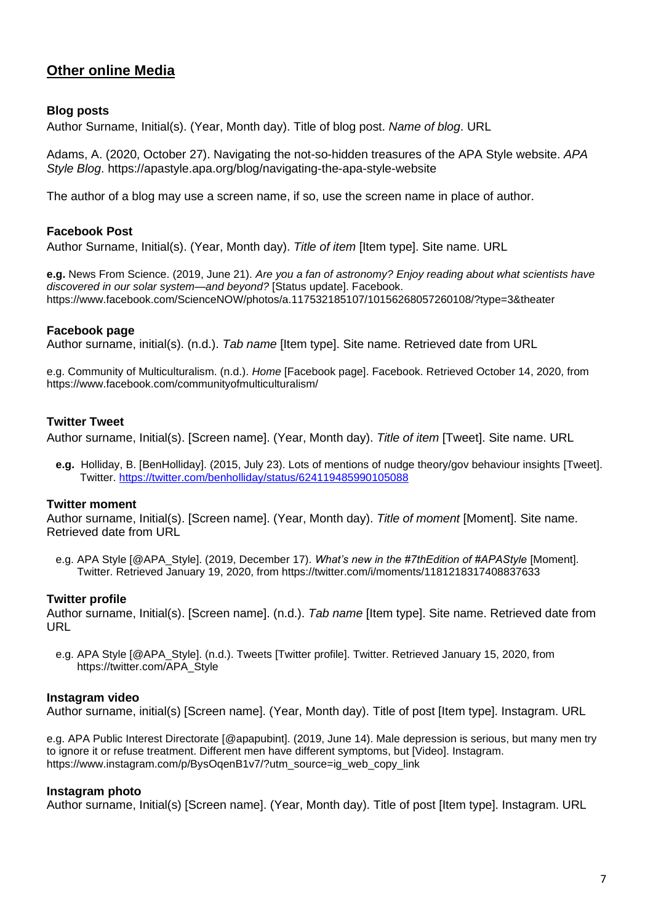# **Other online Media**

# **Blog posts**

Author Surname, Initial(s). (Year, Month day). Title of blog post. *Name of blog*. URL

Adams, A. (2020, October 27). Navigating the not-so-hidden treasures of the APA Style website. *APA Style Blog*. https://apastyle.apa.org/blog/navigating-the-apa-style-website

The author of a blog may use a screen name, if so, use the screen name in place of author.

# **Facebook Post**

Author Surname, Initial(s). (Year, Month day). *Title of item* [Item type]. Site name. URL

**e.g.** News From Science. (2019, June 21). *Are you a fan of astronomy? Enjoy reading about what scientists have discovered in our solar system—and beyond?* [Status update]. Facebook. https://www.facebook.com/ScienceNOW/photos/a.117532185107/10156268057260108/?type=3&theater

## **Facebook page**

Author surname, initial(s). (n.d.). *Tab name* [Item type]. Site name. Retrieved date from URL

e.g. Community of Multiculturalism. (n.d.). *Home* [Facebook page]. Facebook. Retrieved October 14, 2020, from https://www.facebook.com/communityofmulticulturalism/

#### **Twitter Tweet**

Author surname, Initial(s). [Screen name]. (Year, Month day). *Title of item* [Tweet]. Site name. URL

 **e.g.** Holliday, B. [BenHolliday]. (2015, July 23). Lots of mentions of nudge theory/gov behaviour insights [Tweet]. Twitter.<https://twitter.com/benholliday/status/624119485990105088>

#### **Twitter moment**

Author surname, Initial(s). [Screen name]. (Year, Month day). *Title of moment* [Moment]. Site name. Retrieved date from URL

 e.g. APA Style [@APA\_Style]. (2019, December 17). *What's new in the #7thEdition of #APAStyle* [Moment]. Twitter. Retrieved January 19, 2020, from https://twitter.com/i/moments/1181218317408837633

#### **Twitter profile**

Author surname, Initial(s). [Screen name]. (n.d.). *Tab name* [Item type]. Site name. Retrieved date from URL

 e.g. APA Style [@APA\_Style]. (n.d.). Tweets [Twitter profile]. Twitter. Retrieved January 15, 2020, from https://twitter.com/APA\_Style

#### **Instagram video**

Author surname, initial(s) [Screen name]. (Year, Month day). Title of post [Item type]. Instagram. URL

e.g. APA Public Interest Directorate [@apapubint]. (2019, June 14). Male depression is serious, but many men try to ignore it or refuse treatment. Different men have different symptoms, but [Video]. Instagram. https://www.instagram.com/p/BysOgenB1v7/?utm\_source=ig\_web\_copy\_link

#### **Instagram photo**

Author surname, Initial(s) [Screen name]. (Year, Month day). Title of post [Item type]. Instagram. URL